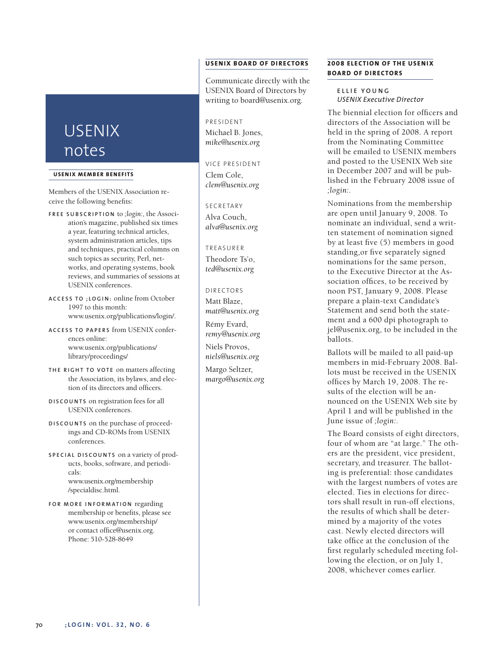# USENIX notes

#### **USENIX MEMBER BENEF ITS**

Members of the USENIX Association receive the following benefits:

- **F R E E S U B S C R I P T I O N** to *;login:*, the Association's magazine, published six times a year, featuring technical articles, system administration articles, tips and techniques, practical columns on such topics as security, Perl, networks, and operating systems, book reviews, and summaries of sessions at USENIX conferences.
- **A C C E S S T O ; L O G I N :** online from October 1997 to this month: www.usenix.org/publications/login/.
- **A C C E S S T O PA P E R S** from USENIX conferences online: www.usenix.org/publications/ library/proceedings/
- **TH E R I G H T T O V O T E** on matters affecting the Association, its bylaws, and election of its directors and officers.
- **D I S C O U N T S** on registration fees for all USENIX conferences.
- **D I S C O U N T S** on the purchase of proceedings and CD-ROMs from USENIX conferences.
- **S P E C I A L D I S C O U N T S** on a variety of products, books, software, and periodicals: www.usenix.org/membership /specialdisc.html.
- **F O R M O R E I N F O R M AT I O N** regarding membership or benefits, please see www.usenix.org/membership/ or contact office@usenix.org. Phone: 510-528-8649

# **USENIX BOARD OF DIRECTORS**

Communicate directly with the USENIX Board of Directors by writing to board@usenix.org.

# PRESIDENT

Michael B. Jones, *mike@usenix.org*

VICE PRESIDENT Clem Cole, *clem@usenix.org*

SECRETARY Alva Couch, *alva@usenix.org*

#### TREASURER

Theodore Ts'o, *ted@usenix.org*

DI RECTORS Matt Blaze, *matt@usenix.org*

Rémy Evard, *remy@usenix.org*

Niels Provos, *niels@usenix.org*

Margo Seltzer, *margo@usenix.org*

# **2008 ELECTION OF THE USENIX BOARD OF DIRECTORS**

**E L L I E Y O U N G** *USENIX Executive Director*

The biennial election for officers and directors of the Association will be held in the spring of 2008. A report from the Nominating Committee will be emailed to USENIX members and posted to the USENIX Web site in December 2007 and will be published in the February 2008 issue of *;login:.*

Nominations from the membership are open until January 9, 2008. To nominate an individual, send a written statement of nomination signed by at least five (5) members in good standing,or five separately signed nominations for the same person, to the Executive Director at the Association offices, to be received by noon PST, January 9, 2008. Please prepare a plain-text Candidate's Statement and send both the statement and a 600 dpi photograph to jel@usenix.org, to be included in the ballots.

Ballots will be mailed to all paid-up members in mid-February 2008. Ballots must be received in the USENIX offices by March 19, 2008. The results of the election will be announced on the USENIX Web site by April 1 and will be published in the June issue of *;login:.*

The Board consists of eight directors, four of whom are "at large." The others are the president, vice president, secretary, and treasurer. The balloting is preferential: those candidates with the largest numbers of votes are elected. Ties in elections for directors shall result in run-off elections, the results of which shall be determined by a majority of the votes cast. Newly elected directors will take office at the conclusion of the first regularly scheduled meeting following the election, or on July 1, 2008, whichever comes earlier.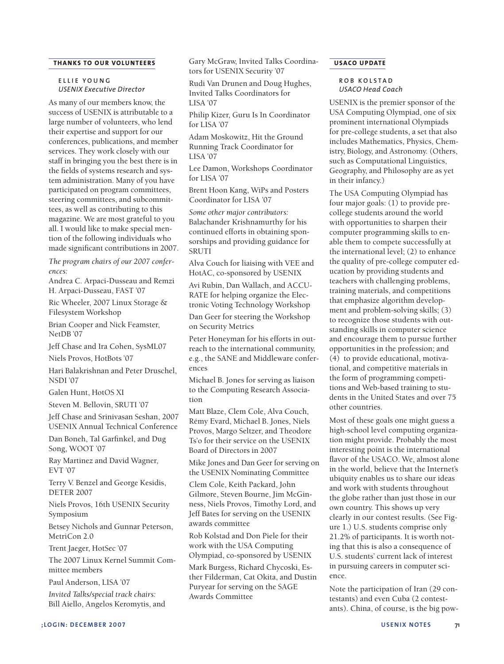# **THANKS TO OUR VOLUNTEERS**

#### **E L L I E Y O U N G** *USENIX Executive Director*

As many of our members know, the success of USENIX is attributable to a large number of volunteers, who lend their expertise and support for our conferences, publications, and member services. They work closely with our staff in bringing you the best there is in the fields of systems research and system administration. Many of you have participated on program committees, steering committees, and subcommittees, as well as contributing to this magazine. We are most grateful to you all. I would like to make special mention of the following individuals who made significant contributions in 2007.

*The program chairs of our 2007 conferences:*

Andrea C. Arpaci-Dusseau and Remzi H. Arpaci-Dusseau, FAST '07

Ric Wheeler, 2007 Linux Storage & Filesystem Workshop

Brian Cooper and Nick Feamster, NetDB '07

Jeff Chase and Ira Cohen, SysML07

Niels Provos, HotBots '07

Hari Balakrishnan and Peter Druschel, NSDI '07

Galen Hunt, HotOS XI

Steven M. Bellovin, SRUTI '07

Jeff Chase and Srinivasan Seshan, 2007 USENIX Annual Technical Conference

Dan Boneh, Tal Garfinkel, and Dug Song, WOOT '07

Ray Martinez and David Wagner, EVT '07

Terry V. Benzel and George Kesidis, DETER 2007

Niels Provos, 16th USENIX Security Symposium

Betsey Nichols and Gunnar Peterson, MetriCon 2.0

Trent Jaeger, HotSec '07

The 2007 Linux Kernel Summit Committee members

Paul Anderson, LISA '07

*Invited Talks/special track chairs:* Bill Aiello, Angelos Keromytis, and Gary McGraw, Invited Talks Coordinators for USENIX Security '07

Rudi Van Drunen and Doug Hughes, Invited Talks Coordinators for LISA '07

Philip Kizer, Guru Is In Coordinator for LISA '07

Adam Moskowitz, Hit the Ground Running Track Coordinator for LISA '07

Lee Damon, Workshops Coordinator for LISA '07

Brent Hoon Kang, WiPs and Posters Coordinator for LISA '07

*Some other major contributors:* Balachander Krishnamurthy for his continued efforts in obtaining sponsorships and providing guidance for SRUTI

Alva Couch for liaising with VEE and HotAC, co-sponsored by USENIX

Avi Rubin, Dan Wallach, and ACCU-RATE for helping organize the Electronic Voting Technology Workshop

Dan Geer for steering the Workshop on Security Metrics

Peter Honeyman for his efforts in outreach to the international community, e.g., the SANE and Middleware conferences

Michael B. Jones for serving as liaison to the Computing Research Association

Matt Blaze, Clem Cole, Alva Couch, Rémy Evard, Michael B. Jones, Niels Provos, Margo Seltzer, and Theodore Ts'o for their service on the USENIX Board of Directors in 2007

Mike Jones and Dan Geer for serving on the USENIX Nominating Committee

Clem Cole, Keith Packard, John Gilmore, Steven Bourne, Jim McGinness, Niels Provos, Timothy Lord, and Jeff Bates for serving on the USENIX awards committee

Rob Kolstad and Don Piele for their work with the USA Computing Olympiad, co-sponsored by USENIX

Mark Burgess, Richard Chycoski, Esther Filderman, Cat Okita, and Dustin Puryear for serving on the SAGE Awards Committee

## **USACO UPDATE**

## **R O B K O L S T A D** *USACO Head Coach*

USENIX is the premier sponsor of the USA Computing Olympiad, one of six prominent international Olympiads for pre-college students, a set that also includes Mathematics, Physics, Chemistry, Biology, and Astronomy. (Others, such as Computational Linguistics, Geography, and Philosophy are as yet in their infancy.)

The USA Computing Olympiad has four major goals: (1) to provide precollege students around the world with opportunities to sharpen their computer programming skills to enable them to compete successfully at the international level; (2) to enhance the quality of pre-college computer education by providing students and teachers with challenging problems, training materials, and competitions that emphasize algorithm development and problem-solving skills; (3) to recognize those students with outstanding skills in computer science and encourage them to pursue further opportunities in the profession; and (4) to provide educational, motivational, and competitive materials in the form of programming competitions and Web-based training to students in the United States and over 75 other countries.

Most of these goals one might guess a high-school level computing organization might provide. Probably the most interesting point is the international flavor of the USACO. We, almost alone in the world, believe that the Internet's ubiquity enables us to share our ideas and work with students throughout the globe rather than just those in our own country. This shows up very clearly in our contest results. (See Figure 1.) U.S. students comprise only 21.2% of participants. It is worth noting that this is also a consequence of U.S. students' current lack of interest in pursuing careers in computer science.

Note the participation of Iran (29 contestants) and even Cuba (2 contestants). China, of course, is the big pow